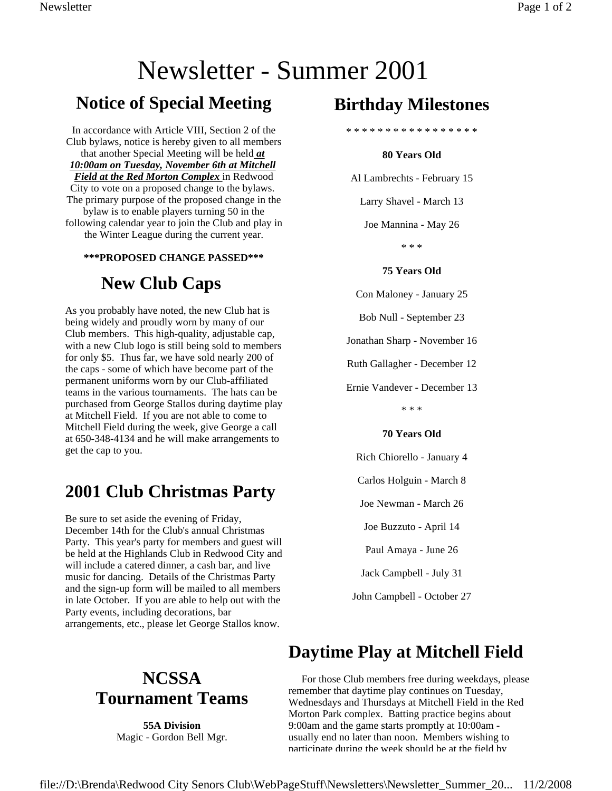# Newsletter - Summer 2001

### **Notice of Special Meeting**

In accordance with Article VIII, Section 2 of the Club bylaws, notice is hereby given to all members that another Special Meeting will be held *at 10:00am on Tuesday, November 6th at Mitchell Field at the Red Morton Complex* in Redwood City to vote on a proposed change to the bylaws. The primary purpose of the proposed change in the bylaw is to enable players turning 50 in the following calendar year to join the Club and play in the Winter League during the current year.

#### **\*\*\*PROPOSED CHANGE PASSED\*\*\***

### **New Club Caps**

As you probably have noted, the new Club hat is being widely and proudly worn by many of our Club members. This high-quality, adjustable cap, with a new Club logo is still being sold to members for only \$5. Thus far, we have sold nearly 200 of the caps - some of which have become part of the permanent uniforms worn by our Club-affiliated teams in the various tournaments. The hats can be purchased from George Stallos during daytime play at Mitchell Field. If you are not able to come to Mitchell Field during the week, give George a call at 650-348-4134 and he will make arrangements to get the cap to you.

### **2001 Club Christmas Party**

Be sure to set aside the evening of Friday, December 14th for the Club's annual Christmas Party. This year's party for members and guest will be held at the Highlands Club in Redwood City and will include a catered dinner, a cash bar, and live music for dancing. Details of the Christmas Party and the sign-up form will be mailed to all members in late October. If you are able to help out with the Party events, including decorations, bar arrangements, etc., please let George Stallos know.

### **Birthday Milestones**

\* \* \* \* \* \* \* \* \* \* \* \* \* \* \* \* \*

#### **80 Years Old**

Al Lambrechts - February 15

Larry Shavel - March 13

Joe Mannina - May 26

\* \* \*

#### **75 Years Old**

Con Maloney - January 25

Bob Null - September 23

Jonathan Sharp - November 16

Ruth Gallagher - December 12

Ernie Vandever - December 13

\* \* \*

#### **70 Years Old**

Rich Chiorello - January 4

Carlos Holguin - March 8

Joe Newman - March 26

Joe Buzzuto - April 14

Paul Amaya - June 26

Jack Campbell - July 31

John Campbell - October 27

### **Daytime Play at Mitchell Field**

 For those Club members free during weekdays, please remember that daytime play continues on Tuesday, Wednesdays and Thursdays at Mitchell Field in the Red Morton Park complex. Batting practice begins about 9:00am and the game starts promptly at 10:00am usually end no later than noon. Members wishing to participate during the week should be at the field by

## **NCSSA Tournament Teams**

**55A Division** Magic - Gordon Bell Mgr.

file://D:\Brenda\Redwood City Senors Club\WebPageStuff\Newsletters\Newsletter\_Summer\_20... 11/2/2008